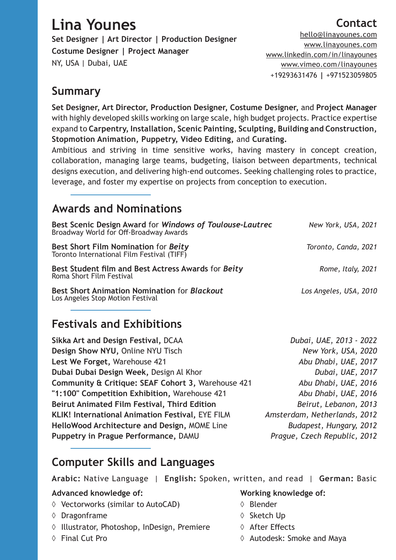# **Lina Younes**

**Set Designer | Art Director | Production Designer Costume Designer | Project Manager** NY, USA | Dubai, UAE

#### hello@linayounes.com www.linayounes.com www.linkedin.com/in/linayounes www.vimeo.com/linayounes +19293631476 **|** +971523059805

## **Summary**

**Set Designer, Art Director, Production Designer, Costume Designer,** and **Project Manager** with highly developed skills working on large scale, high budget projects. Practice expertise expand to **Carpentry, Installation, Scenic Painting, Sculpting, Building and Construction, Stopmotion Animation, Puppetry, Video Editing,** and **Curating.**

Ambitious and striving in time sensitive works, having mastery in concept creation, collaboration, managing large teams, budgeting, liaison between departments, technical designs execution, and delivering high-end outcomes. Seeking challenging roles to practice, leverage, and foster my expertise on projects from conception to execution.

## **Awards and Nominations**

| Best Scenic Design Award for Windows of Toulouse-Lautrec<br>Broadway World for Off-Broadway Awards | New York, USA, 2021    |
|----------------------------------------------------------------------------------------------------|------------------------|
| Best Short Film Nomination for Beity<br>Toronto International Film Festival (TIFF)                 | Toronto, Canda, 2021   |
| Best Student film and Best Actress Awards for Beity<br>Roma Short Film Festival                    | Rome, Italy, 2021      |
| <b>Best Short Animation Nomination for Blackout</b><br>Los Angeles Stop Motion Festival            | Los Angeles, USA, 2010 |

## **Festivals and Exhibitions**

**Sikka Art and Design Festival,** DCAA *Dubai, UAE, 2013 - 2022* **Design Show NYU,** Online NYU Tisch*New York, USA, 2020* **Lest We Forget,** Warehouse 421*Abu Dhabi, UAE, 2017* **Dubai Dubai Design Week, Design Al Khor** *Dubai, UAE, 2017 Dubai, UAE, 2017* **Community & Critique: SEAF Cohort 3,** Warehouse 421 *Abu Dhabi, UAE, 2016* **"1:100" Competition Exhibition,** Warehouse 421*Abu Dhabi, UAE, 2016* **Beirut Animated Film Festival, Third Edition** *Beirut, Lebanon, 2013* **KLIK! International Animation Festival,** EYE FILM *Amsterdam, Netherlands, 2012* **HelloWood Architecture and Design,** MOME Line *Budapest, Hungary, 2012* **Puppetry in Prague Performance,** DAMU *Prague, Czech Republic, 2012*

## **Computer Skills and Languages**

**Arabic:** Native Language | **English:** Spoken, written, and read | **German:** Basic

#### **Advanced knowledge of:**

- ◊ Vectorworks (similar to AutoCAD)
- ◊ Dragonframe
- ◊ Illustrator, Photoshop, InDesign, Premiere
- ◊ Final Cut Pro

#### **Working knowledge of:**

- ◊ Blender
- ◊ Sketch Up
- ◊ After Effects
- ◊ Autodesk: Smoke and Maya

## **Contact**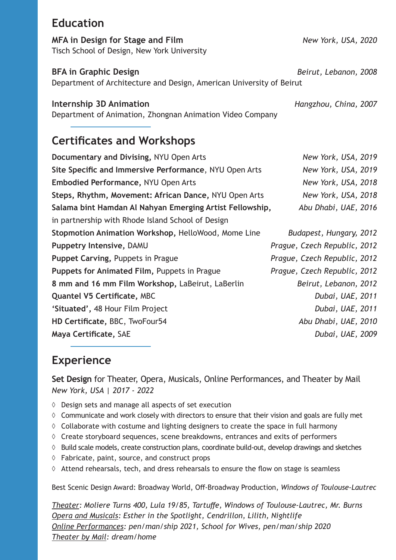## **Education**

**MFA in Design for Stage and Film** *New York, USA, 2020* Tisch School of Design, New York University

**BFA in Graphic Design** *Beirut, Lebanon, 2008*

Department of Architecture and Design, American University of Beirut

### **Internship 3D Animation** *Hangzhou, China, 2007*

Department of Animation, Zhongnan Animation Video Company

## **Certificates and Workshops**

| Documentary and Divising, NYU Open Arts                  | New York, USA, 2019          |
|----------------------------------------------------------|------------------------------|
| Site Specific and Immersive Performance, NYU Open Arts   | New York, USA, 2019          |
| <b>Embodied Performance, NYU Open Arts</b>               | New York, USA, 2018          |
| Steps, Rhythm, Movement: African Dance, NYU Open Arts    | New York, USA, 2018          |
| Salama bint Hamdan Al Nahyan Emerging Artist Fellowship, | Abu Dhabi, UAE, 2016         |
| in partnership with Rhode Island School of Design        |                              |
| Stopmotion Animation Workshop, HelloWood, Mome Line      | Budapest, Hungary, 2012      |
| <b>Puppetry Intensive, DAMU</b>                          | Prague, Czech Republic, 2012 |
| Puppet Carving, Puppets in Prague                        | Prague, Czech Republic, 2012 |
| Puppets for Animated Film, Puppets in Prague             | Prague, Czech Republic, 2012 |
| 8 mm and 16 mm Film Workshop, LaBeirut, LaBerlin         | Beirut, Lebanon, 2012        |
| <b>Quantel V5 Certificate, MBC</b>                       | Dubai, UAE, 2011             |
| 'Situated', 48 Hour Film Project                         | Dubai, UAE, 2011             |
| HD Certificate, BBC, TwoFour54                           | Abu Dhabi, UAE, 2010         |
| Maya Certificate, SAE                                    | Dubai, UAE, 2009             |
|                                                          |                              |

## **Experience**

**Set Design** for Theater, Opera, Musicals, Online Performances, and Theater by Mail *New York, USA | 2017 - 2022*

- ◊ Design sets and manage all aspects of set execution
- $\diamond$  Communicate and work closely with directors to ensure that their vision and goals are fully met
- $\Diamond$  Collaborate with costume and lighting designers to create the space in full harmony
- ◊ Create storyboard sequences, scene breakdowns, entrances and exits of performers
- ◊ Build scale models, create construction plans, coordinate build-out, develop drawings and sketches
- ◊ Fabricate, paint, source, and construct props
- ◊ Attend rehearsals, tech, and dress rehearsals to ensure the flow on stage is seamless

Best Scenic Design Award: Broadway World, Off-Broadway Production, *Windows of Toulouse-Lautrec*

*Theater: Moliere Turns 400, Lula 19/85, Tartuffe, Windows of Toulouse-Lautrec, Mr. Burns Opera and Musicals: Esther in the Spotlight, Cendrillon, Lilith, Nightlife Online Performances: pen/man/ship 2021, School for Wives, pen/man/ship 2020 Theater by Mail: dream/home*